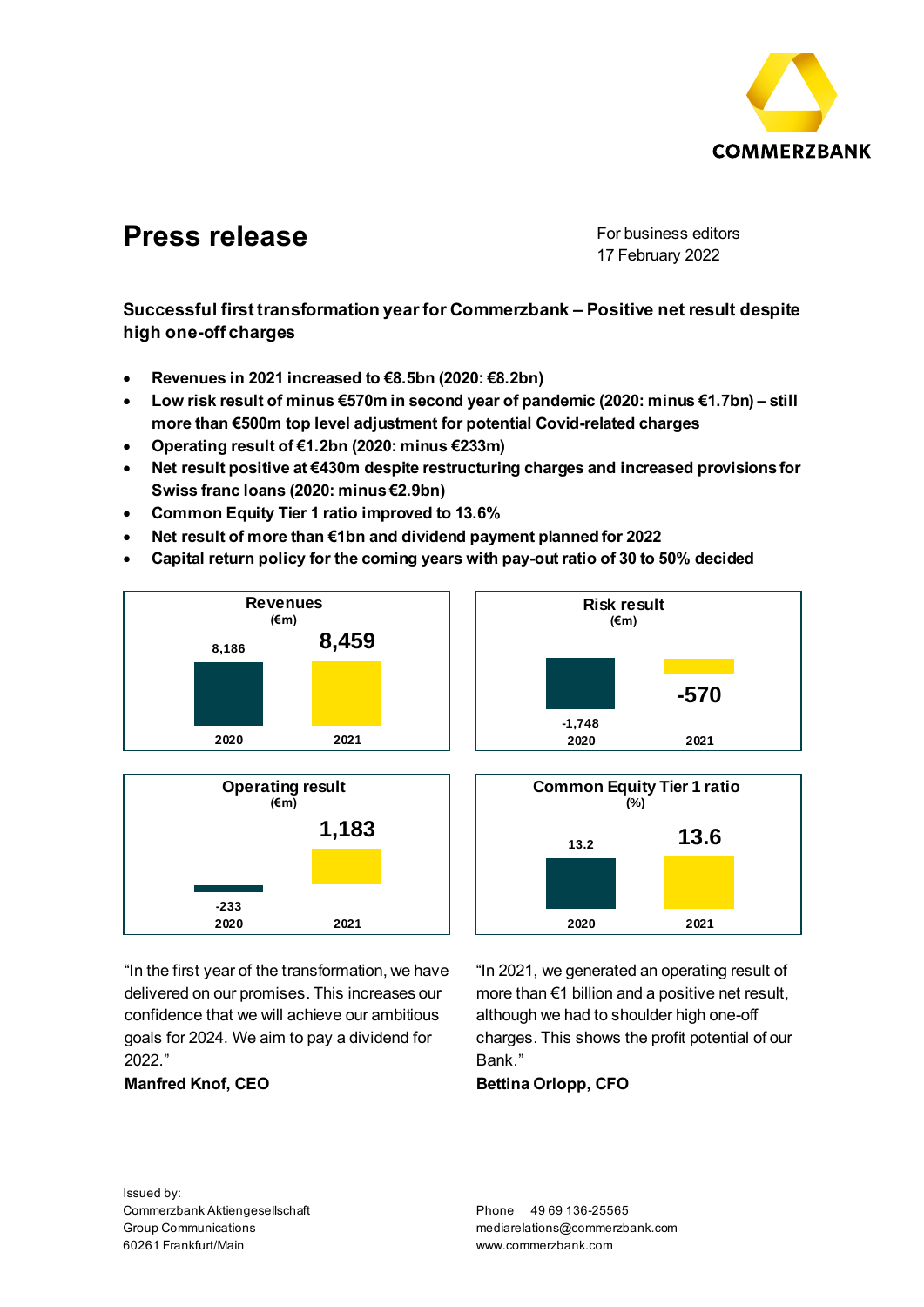

# **Press release** For business editors

17 February 2022

**Successful first transformation year for Commerzbank – Positive net result despite high one-off charges**

- **Revenues in 2021 increased to €8.5bn (2020: €8.2bn)**
- **Low risk result of minus €570m in second year of pandemic (2020: minus €1.7bn) – still more than €500m top level adjustment for potential Covid-related charges**
- **Operating result of €1.2bn (2020: minus €233m)**
- **Net result positive at €430m despite restructuring charges and increased provisions for Swiss franc loans (2020: minus €2.9bn)**
- **Common Equity Tier 1 ratio improved to 13.6%**
- **Net result of more than €1bn and dividend payment planned for 2022**
- **Capital return policy for the coming years with pay-out ratio of 30 to 50% decided**









"In the first year of the transformation, we have delivered on our promises. This increases our confidence that we will achieve our ambitious goals for 2024. We aim to pay a dividend for 2022."

**Manfred Knof, CEO**

"In 2021, we generated an operating result of more than €1 billion and a positive net result, although we had to shoulder high one-off charges. This shows the profit potential of our Bank."

**Bettina Orlopp, CFO**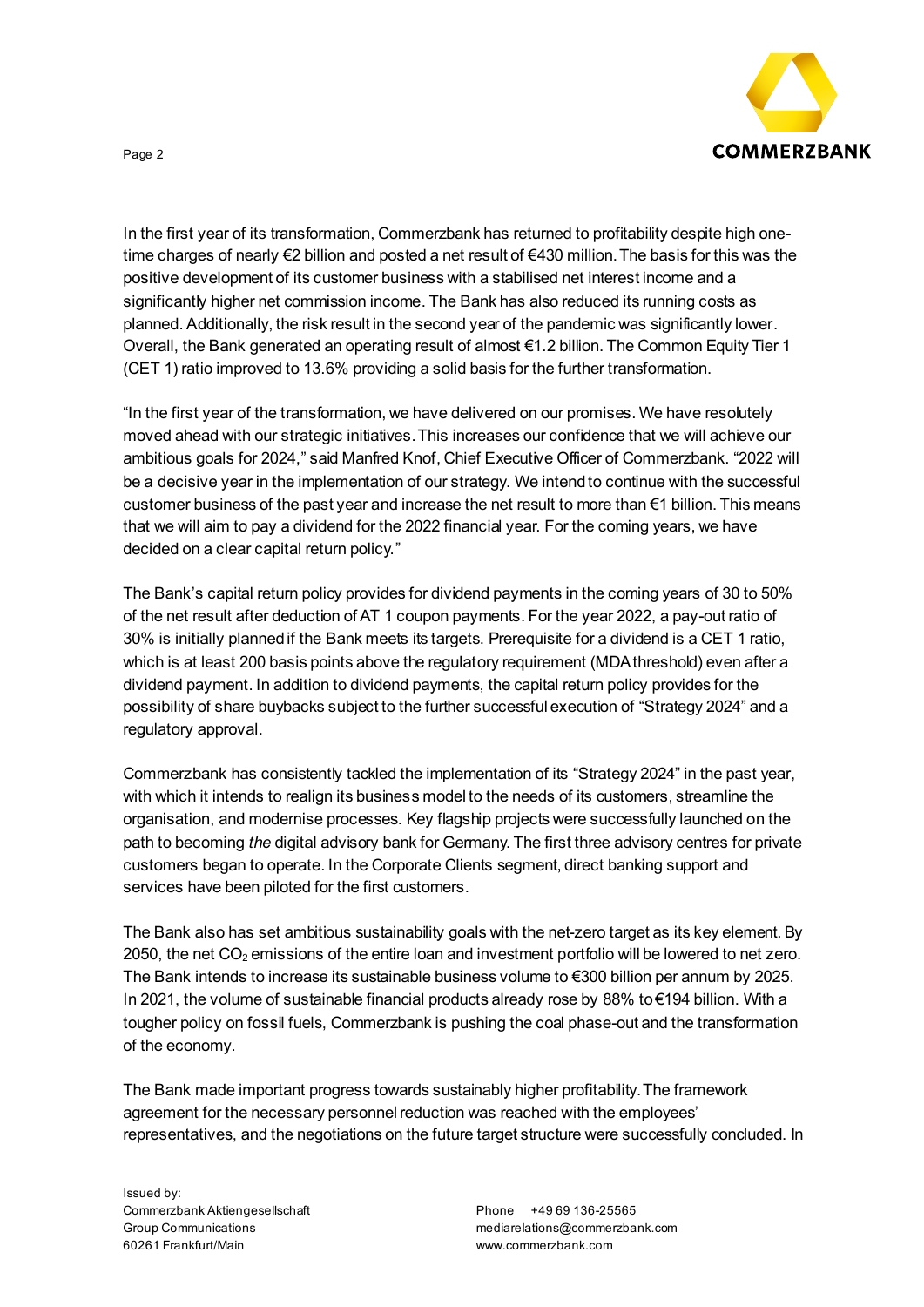

In the first year of its transformation, Commerzbank has returned to profitability despite high onetime charges of nearly €2 billion and posted a net result of €430 million.The basis for this was the positive development of its customer business with a stabilised net interest income and a significantly higher net commission income. The Bank has also reduced its running costs as planned. Additionally, the risk result in the second year of the pandemic was significantly lower. Overall, the Bank generated an operating result of almost €1.2 billion. The Common Equity Tier 1 (CET 1) ratio improved to 13.6% providing a solid basis for the further transformation.

"In the first year of the transformation, we have delivered on our promises. We have resolutely moved ahead with our strategic initiatives. This increases our confidence that we will achieve our ambitious goals for 2024," said Manfred Knof, Chief Executive Officer of Commerzbank. "2022 will be a decisive year in the implementation of our strategy. We intend to continue with the successful customer business of the past year and increase the net result to more than  $\epsilon$ 1 billion. This means that we will aim to pay a dividend for the 2022 financial year. For the coming years, we have decided on a clear capital return policy."

The Bank's capital return policy provides for dividend payments in the coming years of 30 to 50% of the net result after deduction of AT 1 coupon payments. For the year 2022, a pay-out ratio of 30% is initially planned if the Bank meets its targets. Prerequisite for a dividend is a CET 1 ratio, which is at least 200 basis points above the regulatory requirement (MDAthreshold) even after a dividend payment. In addition to dividend payments, the capital return policy provides for the possibility of share buybacks subject to the further successful execution of "Strategy 2024" and a regulatory approval.

Commerzbank has consistently tackled the implementation of its "Strategy 2024" in the past year, with which it intends to realign its business model to the needs of its customers, streamline the organisation, and modernise processes. Key flagship projects were successfully launched on the path to becoming *the* digital advisory bank for Germany. The first three advisory centres for private customers began to operate. In the Corporate Clients segment, direct banking support and services have been piloted for the first customers.

The Bank also has set ambitious sustainability goals with the net-zero target as its key element. By 2050, the net  $CO<sub>2</sub>$  emissions of the entire loan and investment portfolio will be lowered to net zero. The Bank intends to increase its sustainable business volume to €300 billion per annum by 2025. In 2021, the volume of sustainable financial products already rose by 88% to €194 billion. With a tougher policy on fossil fuels, Commerzbank is pushing the coal phase-out and the transformation of the economy.

The Bank made important progress towards sustainably higher profitability. The framework agreement for the necessary personnel reduction was reached with the employees' representatives, and the negotiations on the future target structure were successfully concluded. In

Issued by: Commerzbank Aktiengesellschaft Group Communications 60261 Frankfurt/Main

Phone +49 69 136-25565 mediarelations@commerzbank.com www.commerzbank.com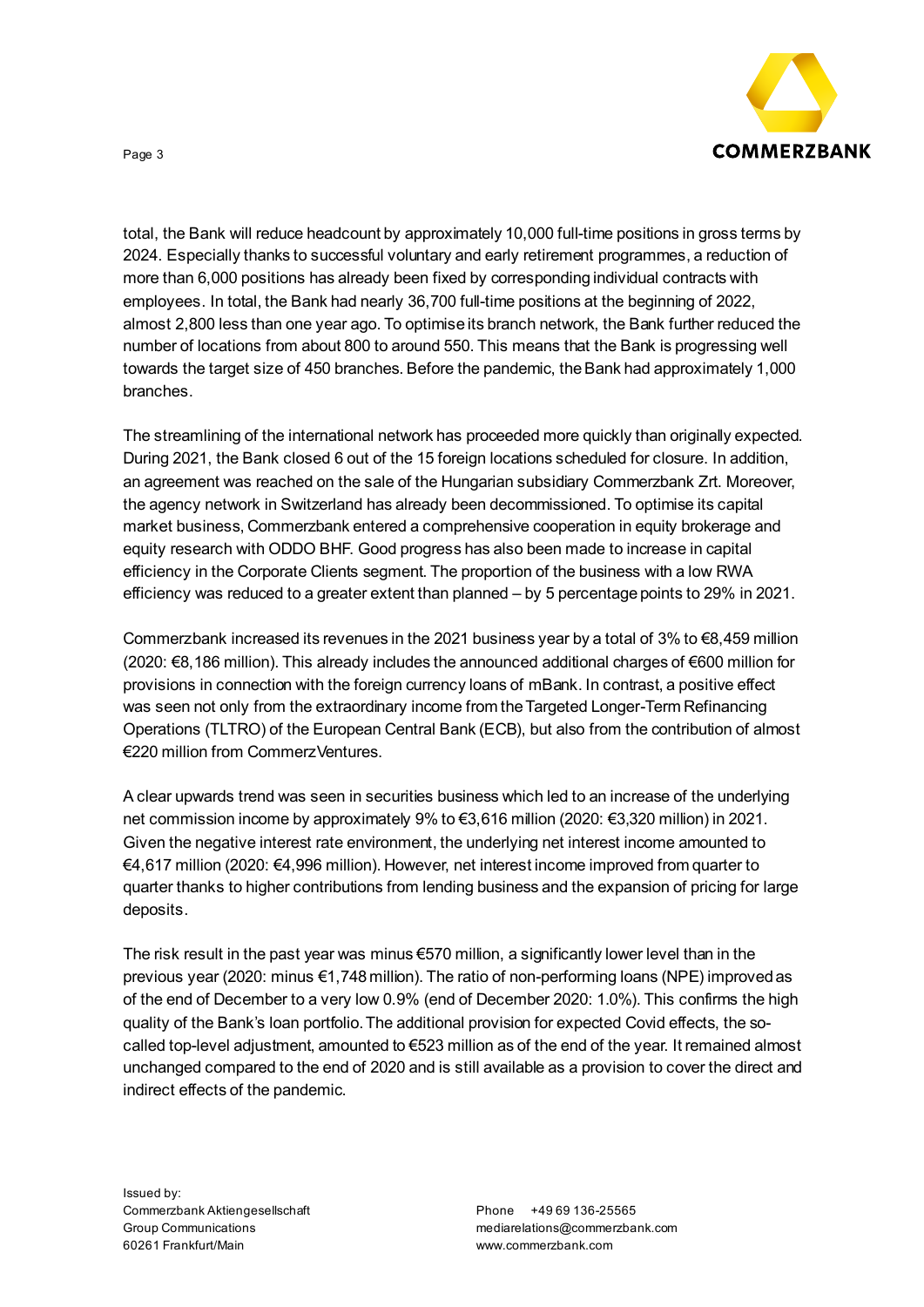

total, the Bank will reduce headcount by approximately 10,000 full-time positions in gross terms by 2024. Especially thanks to successful voluntary and early retirement programmes, a reduction of more than 6,000 positions has already been fixed by corresponding individual contracts with employees. In total, the Bank had nearly 36,700 full-time positions at the beginning of 2022, almost 2,800 less than one year ago. To optimise its branch network, the Bank further reduced the number of locations from about 800 to around 550. This means that the Bank is progressing well towards the target size of 450 branches. Before the pandemic, the Bank had approximately 1,000 branches.

The streamlining of the international network has proceeded more quickly than originally expected. During 2021, the Bank closed 6 out of the 15 foreign locations scheduled for closure. In addition, an agreement was reached on the sale of the Hungarian subsidiary Commerzbank Zrt. Moreover, the agency network in Switzerland has already been decommissioned. To optimise its capital market business, Commerzbank entered a comprehensive cooperation in equity brokerage and equity research with ODDO BHF. Good progress has also been made to increase in capital efficiency in the Corporate Clients segment. The proportion of the business with a low RWA efficiency was reduced to a greater extent than planned – by 5 percentage points to 29% in 2021.

Commerzbank increased its revenues in the 2021 business year by a total of 3% to  $\epsilon$ 8,459 million (2020: €8,186 million). This already includes the announced additional charges of €600 million for provisions in connection with the foreign currency loans of mBank. In contrast, a positive effect was seen not only from the extraordinary income from the Targeted Longer-Term Refinancing Operations (TLTRO) of the European Central Bank (ECB), but also from the contribution of almost €220 million from CommerzVentures.

A clear upwards trend was seen in securities business which led to an increase of the underlying net commission income by approximately 9% to €3,616 million (2020: €3,320 million) in 2021. Given the negative interest rate environment, the underlying net interest income amounted to €4,617 million (2020: €4,996 million). However, net interest income improved from quarter to quarter thanks to higher contributions from lending business and the expansion of pricing for large deposits.

The risk result in the past year was minus  $€570$  million, a significantly lower level than in the previous year (2020: minus €1,748 million). The ratio of non-performing loans (NPE) improved as of the end of December to a very low 0.9% (end of December 2020: 1.0%). This confirms the high quality of the Bank's loan portfolio. The additional provision for expected Covid effects, the socalled top-level adjustment, amounted to €523 million as of the end of the year. It remained almost unchanged compared to the end of 2020 and is still available as a provision to cover the direct and indirect effects of the pandemic.

Phone +49 69 136-25565 mediarelations@commerzbank.com www.commerzbank.com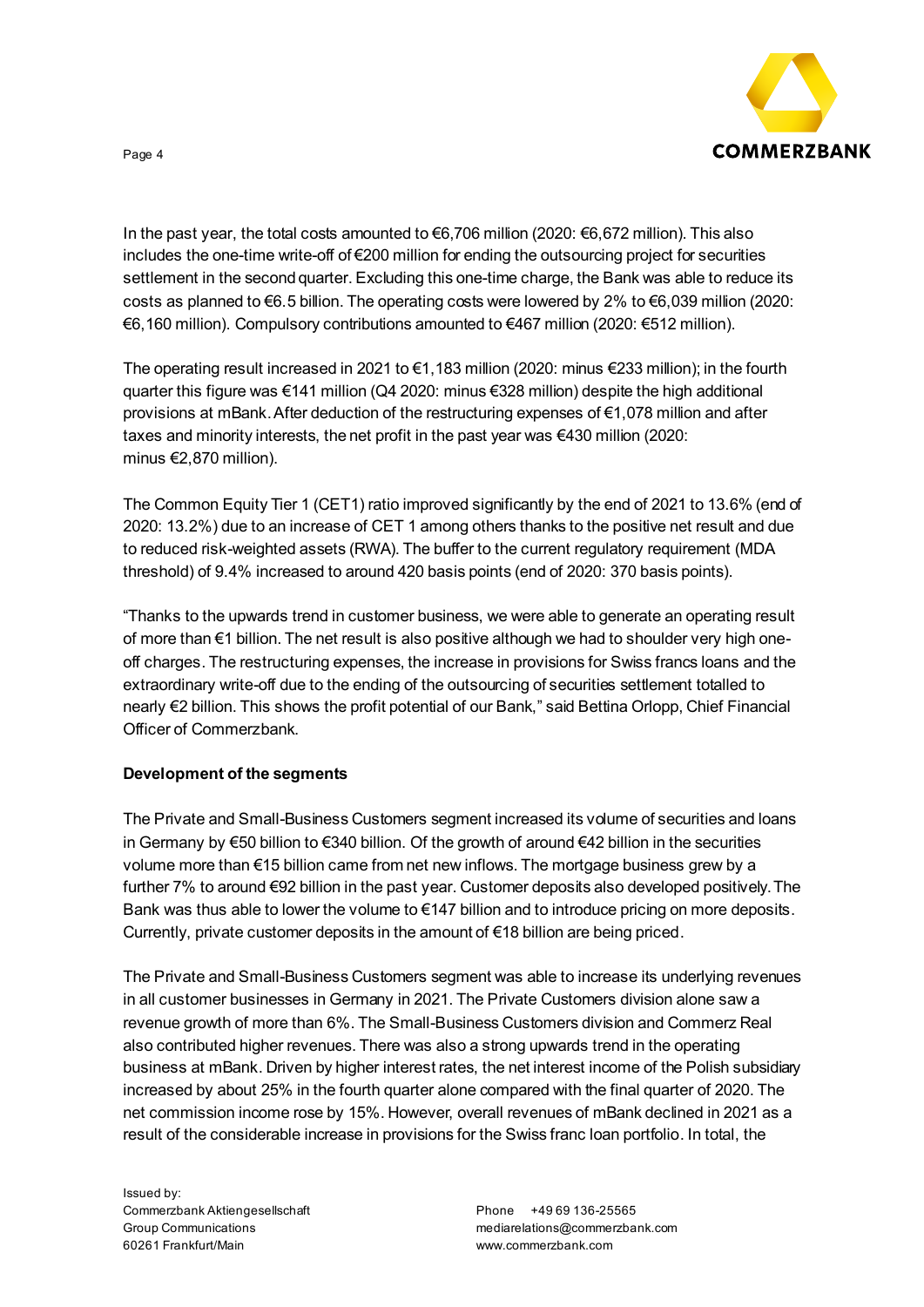

In the past year, the total costs amounted to €6,706 million (2020: €6,672 million). This also includes the one-time write-off of €200 million for ending the outsourcing project for securities settlement in the second quarter. Excluding this one-time charge, the Bank was able to reduce its costs as planned to €6.5 billion. The operating costs were lowered by 2% to €6,039 million (2020: €6,160 million). Compulsory contributions amounted to €467 million (2020: €512 million).

The operating result increased in 2021 to €1,183 million (2020: minus €233 million); in the fourth quarter this figure was €141 million (Q4 2020: minus €328 million) despite the high additional provisions at mBank. After deduction of the restructuring expenses of €1,078 million and after taxes and minority interests, the net profit in the past year was €430 million (2020: minus €2,870 million).

The Common Equity Tier 1 (CET1) ratio improved significantly by the end of 2021 to 13.6% (end of 2020: 13.2%) due to an increase of CET 1 among others thanks to the positive net result and due to reduced risk-weighted assets (RWA). The buffer to the current regulatory requirement (MDA threshold) of 9.4% increased to around 420 basis points (end of 2020: 370 basis points).

"Thanks to the upwards trend in customer business, we were able to generate an operating result of more than €1 billion. The net result is also positive although we had to shoulder very high oneoff charges. The restructuring expenses, the increase in provisions for Swiss francs loans and the extraordinary write-off due to the ending of the outsourcing of securities settlement totalled to nearly €2 billion. This shows the profit potential of our Bank," said Bettina Orlopp, Chief Financial Officer of Commerzbank.

## **Development of the segments**

The Private and Small-Business Customers segment increased its volume of securities and loans in Germany by €50 billion to €340 billion. Of the growth of around €42 billion in the securities volume more than €15 billion came from net new inflows. The mortgage business grew by a further 7% to around €92 billion in the past year. Customer deposits also developed positively. The Bank was thus able to lower the volume to  $\epsilon$ 147 billion and to introduce pricing on more deposits. Currently, private customer deposits in the amount of  $\epsilon$ 18 billion are being priced.

The Private and Small-Business Customers segment was able to increase its underlying revenues in all customer businesses in Germany in 2021. The Private Customers division alone saw a revenue growth of more than 6%. The Small-Business Customers division and Commerz Real also contributed higher revenues. There was also a strong upwards trend in the operating business at mBank. Driven by higher interest rates, the net interest income of the Polish subsidiary increased by about 25% in the fourth quarter alone compared with the final quarter of 2020. The net commission income rose by 15%. However, overall revenues of mBank declined in 2021 as a result of the considerable increase in provisions for the Swiss franc loan portfolio. In total, the

Issued by: Commerzbank Aktiengesellschaft Group Communications 60261 Frankfurt/Main

Phone +49 69 136-25565 mediarelations@commerzbank.com www.commerzbank.com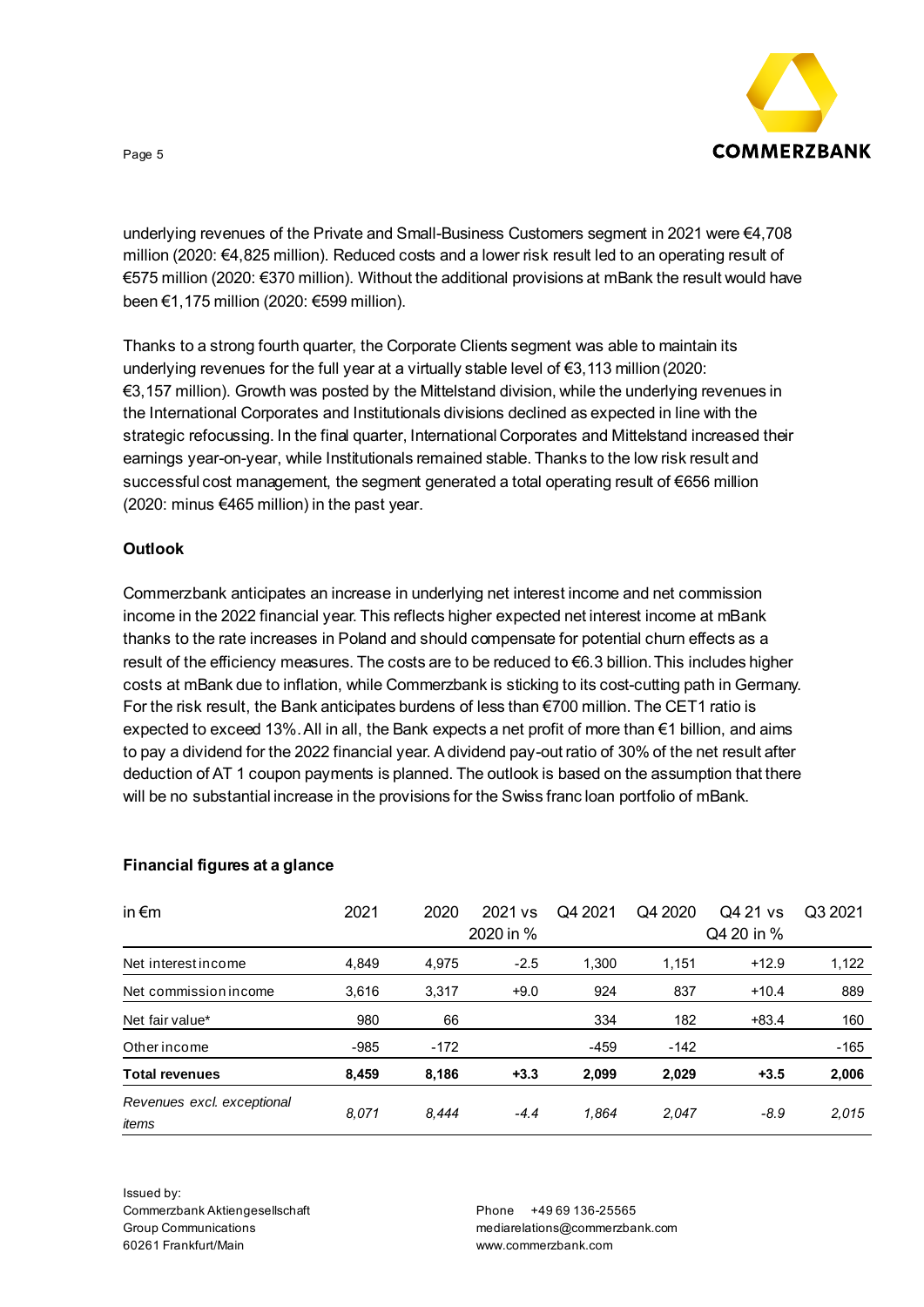

underlying revenues of the Private and Small-Business Customers segment in 2021 were €4,708 million (2020: €4,825 million). Reduced costs and a lower risk result led to an operating result of €575 million (2020: €370 million). Without the additional provisions at mBank the result would have been €1,175 million (2020: €599 million).

Thanks to a strong fourth quarter, the Corporate Clients segment was able to maintain its underlying revenues for the full year at a virtually stable level of  $\epsilon$ 3,113 million (2020: €3,157 million). Growth was posted by the Mittelstand division, while the underlying revenues in the International Corporates and Institutionals divisions declined as expected in line with the strategic refocussing. In the final quarter, International Corporates and Mittelstand increased their earnings year-on-year, while Institutionals remained stable. Thanks to the low risk result and successful cost management, the segment generated a total operating result of €656 million (2020: minus €465 million) in the past year.

## **Outlook**

Commerzbank anticipates an increase in underlying net interest income and net commission income in the 2022 financial year. This reflects higher expected net interest income at mBank thanks to the rate increases in Poland and should compensate for potential churn effects as a result of the efficiency measures. The costs are to be reduced to €6.3 billion. This includes higher costs at mBank due to inflation, while Commerzbank is sticking to its cost-cutting path in Germany. For the risk result, the Bank anticipates burdens of less than €700 million. The CET1 ratio is expected to exceed 13%.All in all, the Bank expects a net profit of more than €1 billion, and aims to pay a dividend for the 2022 financial year. A dividend pay-out ratio of 30% of the net result after deduction of AT 1 coupon payments is planned. The outlook is based on the assumption that there will be no substantial increase in the provisions for the Swiss franc loan portfolio of mBank.

## **Financial figures at a glance**

| in $\epsilon$ m            | 2021   | 2020   | 2021 vs   | Q4 2021 | Q4 2020    | Q4 21 ys | Q3 2021 |
|----------------------------|--------|--------|-----------|---------|------------|----------|---------|
|                            |        |        | 2020 in % |         | Q4 20 in % |          |         |
| Net interest income        | 4,849  | 4,975  | $-2.5$    | 1,300   | 1,151      | $+12.9$  | 1,122   |
| Net commission income      | 3,616  | 3,317  | $+9.0$    | 924     | 837        | $+10.4$  | 889     |
| Net fair value*            | 980    | 66     |           | 334     | 182        | $+83.4$  | 160     |
| Other income               | $-985$ | $-172$ |           | $-459$  | $-142$     |          | $-165$  |
| <b>Total revenues</b>      | 8,459  | 8,186  | $+3.3$    | 2,099   | 2,029      | $+3.5$   | 2,006   |
| Revenues excl. exceptional | 8.071  | 8,444  | $-4.4$    | 1,864   | 2.047      | $-8.9$   | 2,015   |
| items                      |        |        |           |         |            |          |         |

Issued by: Commerzbank Aktiengesellschaft Group Communications 60261 Frankfurt/Main

Phone +49 69 136-25565 mediarelations@commerzbank.com www.commerzbank.com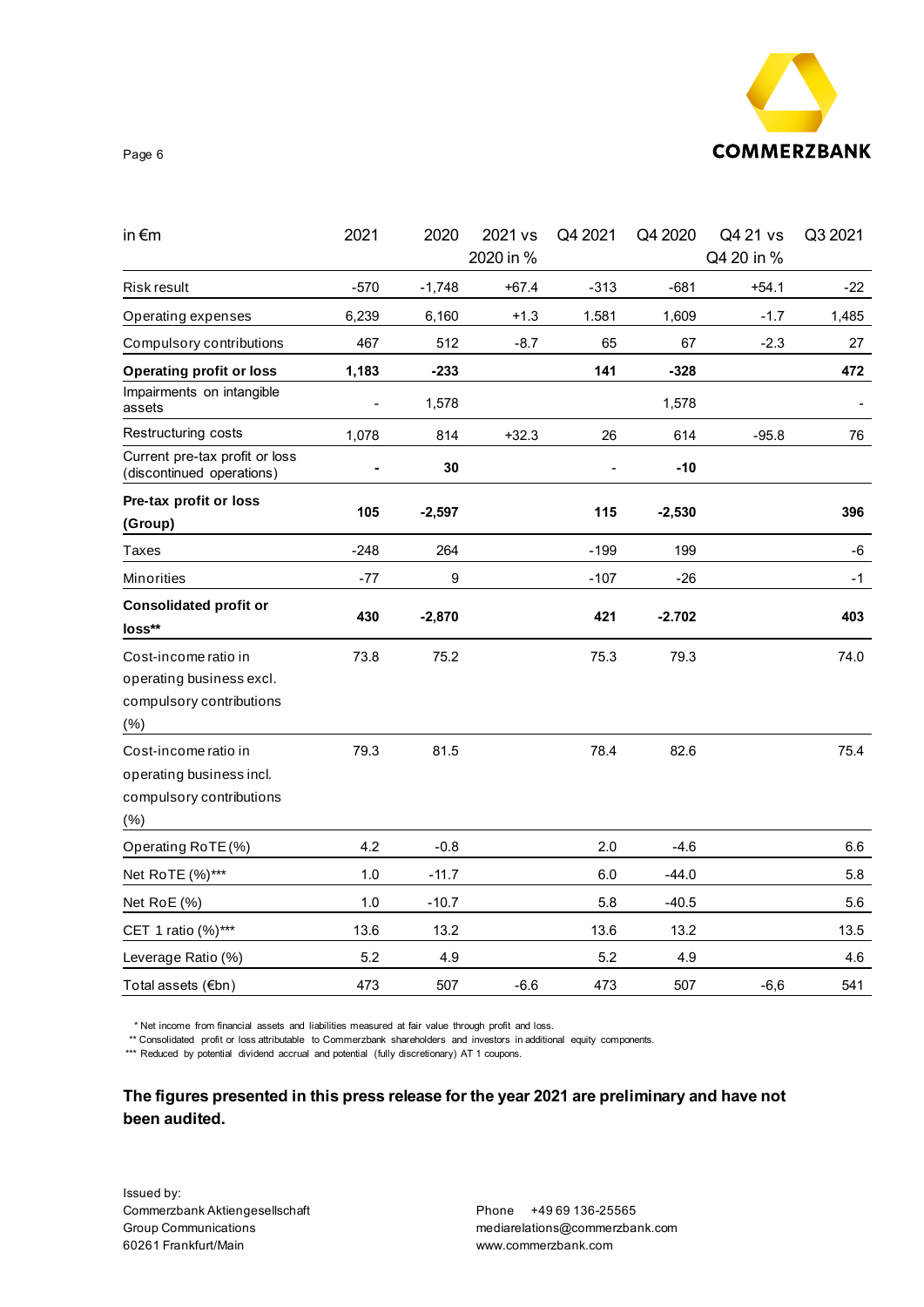

Page 6

| in $\epsilon$ m                                                                      | 2021           | 2020     | 2021 vs<br>2020 in % | Q4 2021 | Q4 2020  | Q4 21 vs<br>Q4 20 in % | Q3 2021 |
|--------------------------------------------------------------------------------------|----------------|----------|----------------------|---------|----------|------------------------|---------|
| <b>Risk result</b>                                                                   | $-570$         | $-1,748$ | $+67.4$              | $-313$  | $-681$   | $+54.1$                | $-22$   |
| Operating expenses                                                                   | 6,239          | 6,160    | $+1.3$               | 1.581   | 1,609    | $-1.7$                 | 1,485   |
| Compulsory contributions                                                             | 467            | 512      | $-8.7$               | 65      | 67       | $-2.3$                 | 27      |
| <b>Operating profit or loss</b>                                                      | 1,183          | $-233$   |                      | 141     | $-328$   |                        | 472     |
| Impairments on intangible<br>assets                                                  | $\blacksquare$ | 1,578    |                      |         | 1,578    |                        |         |
| Restructuring costs                                                                  | 1,078          | 814      | $+32.3$              | 26      | 614      | $-95.8$                | 76      |
| Current pre-tax profit or loss<br>(discontinued operations)                          |                | 30       |                      |         | $-10$    |                        |         |
| Pre-tax profit or loss<br>(Group)                                                    | 105            | $-2,597$ |                      | 115     | $-2,530$ |                        | 396     |
| Taxes                                                                                | $-248$         | 264      |                      | $-199$  | 199      |                        | -6      |
| Minorities                                                                           | -77            | 9        |                      | $-107$  | $-26$    |                        | -1      |
| <b>Consolidated profit or</b><br>loss**                                              | 430            | $-2,870$ |                      | 421     | $-2.702$ |                        | 403     |
| Cost-income ratio in<br>operating business excl.<br>compulsory contributions<br>(% ) | 73.8           | 75.2     |                      | 75.3    | 79.3     |                        | 74.0    |
| Cost-income ratio in<br>operating business incl.<br>compulsory contributions<br>(%)  | 79.3           | 81.5     |                      | 78.4    | 82.6     |                        | 75.4    |
| Operating RoTE (%)                                                                   | 4.2            | $-0.8$   |                      | 2.0     | $-4.6$   |                        | 6.6     |
| Net RoTE (%)***                                                                      | 1.0            | $-11.7$  |                      | 6.0     | $-44.0$  |                        | 5.8     |
| Net RoE (%)                                                                          | 1.0            | $-10.7$  |                      | 5.8     | $-40.5$  |                        | 5.6     |
| CET 1 ratio (%)***                                                                   | 13.6           | 13.2     |                      | 13.6    | 13.2     |                        | 13.5    |
| Leverage Ratio (%)                                                                   | 5.2            | 4.9      |                      | 5.2     | 4.9      |                        | 4.6     |
| Total assets (€bn)                                                                   | 473            | 507      | $-6.6$               | 473     | 507      | $-6,6$                 | 541     |

\* Net income from financial assets and liabilities measured at fair value through profit and loss.

\*\* Consolidated profit or loss attributable to Commerzbank shareholders and investors in additional equity components.

\*\*\* Reduced by potential dividend accrual and potential (fully discretionary) AT 1 coupons.

**The figures presented in this press release for the year 2021 are preliminary and have not been audited.**

Issued by: Commerzbank Aktiengesellschaft Group Communications 60261 Frankfurt/Main

Phone +49 69 136-25565 mediarelations@commerzbank.com www.commerzbank.com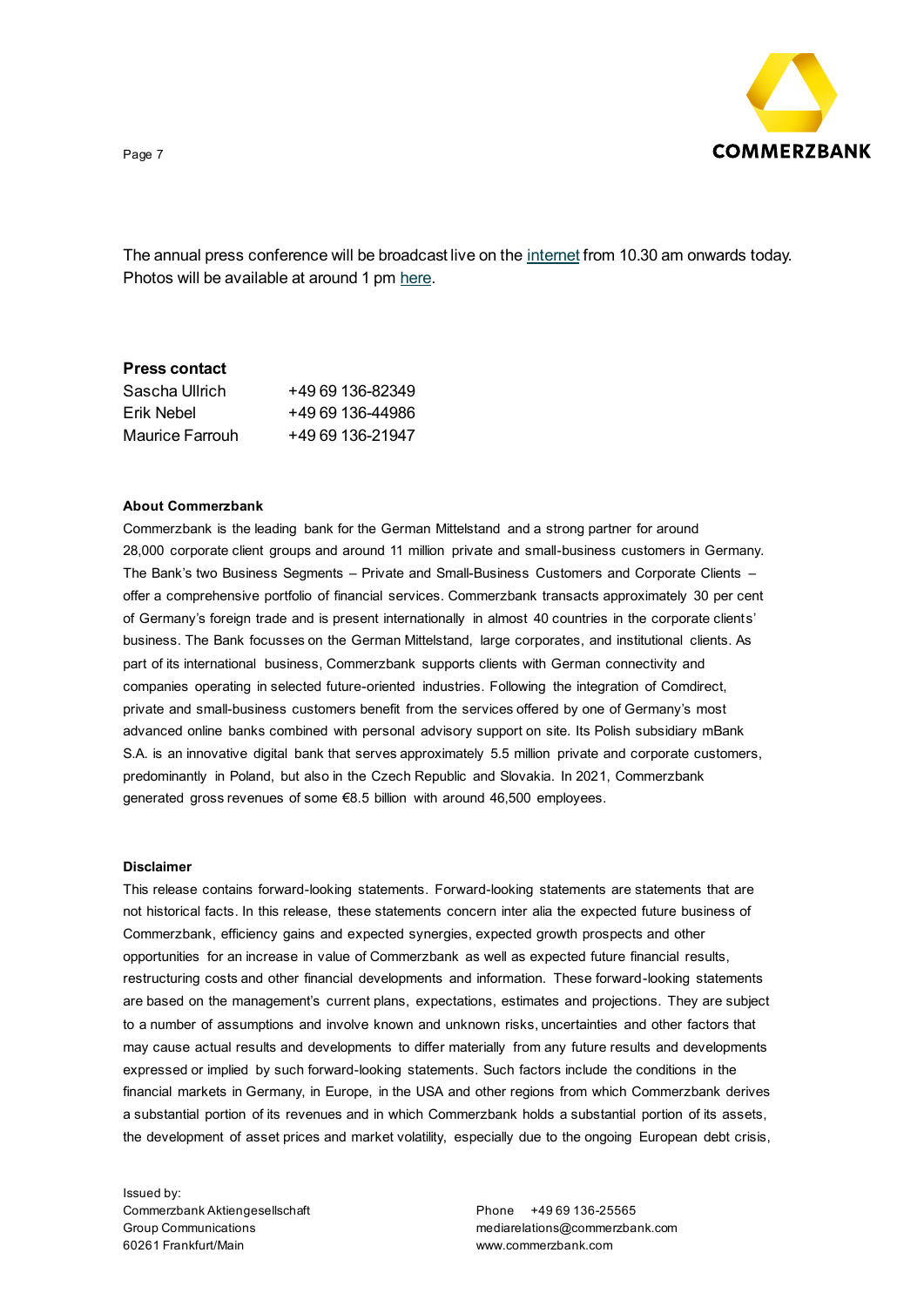

The annual press conference will be broadcast live on th[e internet](https://www.commerzbank.de/en/hauptnavigation/presse/bilanzpressekonferenz/bpk.html) from 10.30 am onwards today. Photos will be available at around 1 p[m here.](https://www.commerzbank.de/en/hauptnavigation/presse/mediathek/bilddaten/portraits/portraits_1.html)

### **Press contact**

| Sascha Ullrich  | +49 69 136-82349 |
|-----------------|------------------|
| Erik Nebel      | +49 69 136-44986 |
| Maurice Farrouh | +49 69 136-21947 |

#### **About Commerzbank**

Commerzbank is the leading bank for the German Mittelstand and a strong partner for around 28,000 corporate client groups and around 11 million private and small-business customers in Germany. The Bank's two Business Segments – Private and Small-Business Customers and Corporate Clients – offer a comprehensive portfolio of financial services. Commerzbank transacts approximately 30 per cent of Germany's foreign trade and is present internationally in almost 40 countries in the corporate clients' business. The Bank focusses on the German Mittelstand, large corporates, and institutional clients. As part of its international business, Commerzbank supports clients with German connectivity and companies operating in selected future-oriented industries. Following the integration of Comdirect, private and small-business customers benefit from the services offered by one of Germany's most advanced online banks combined with personal advisory support on site. Its Polish subsidiary mBank S.A. is an innovative digital bank that serves approximately 5.5 million private and corporate customers, predominantly in Poland, but also in the Czech Republic and Slovakia. In 2021, Commerzbank generated gross revenues of some €8.5 billion with around 46,500 employees.

#### **Disclaimer**

This release contains forward-looking statements. Forward-looking statements are statements that are not historical facts. In this release, these statements concern inter alia the expected future business of Commerzbank, efficiency gains and expected synergies, expected growth prospects and other opportunities for an increase in value of Commerzbank as well as expected future financial results, restructuring costs and other financial developments and information. These forward-looking statements are based on the management's current plans, expectations, estimates and projections. They are subject to a number of assumptions and involve known and unknown risks, uncertainties and other factors that may cause actual results and developments to differ materially from any future results and developments expressed or implied by such forward-looking statements. Such factors include the conditions in the financial markets in Germany, in Europe, in the USA and other regions from which Commerzbank derives a substantial portion of its revenues and in which Commerzbank holds a substantial portion of its assets, the development of asset prices and market volatility, especially due to the ongoing European debt crisis,

Issued by: Commerzbank Aktiengesellschaft Group Communications 60261 Frankfurt/Main

Phone +49 69 136-25565 mediarelations@commerzbank.com www.commerzbank.com